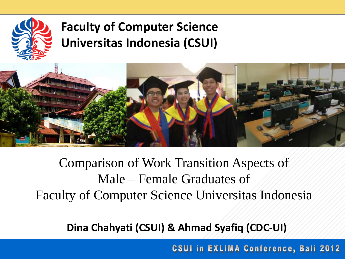

### **Faculty of Computer Science Universitas Indonesia (CSUI)**



## Comparison of Work Transition Aspects of Male – Female Graduates of Faculty of Computer Science Universitas Indonesia

**Dina Chahyati (CSUI) & Ahmad Syafiq (CDC-UI)**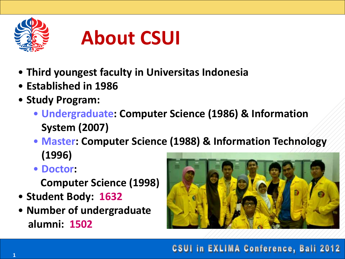

# **About CSUI**

- **Third youngest faculty in Universitas Indonesia**
- **Established in 1986**
- **Study Program:**
	- **Undergraduate: Computer Science (1986) & Information System (2007)**
	- **Master: Computer Science (1988) & Information Technology (1996)**
	- **Doctor:**

 **Computer Science (1998)**

- **Student Body: 1632**
- **Number of undergraduate alumni: 1502**

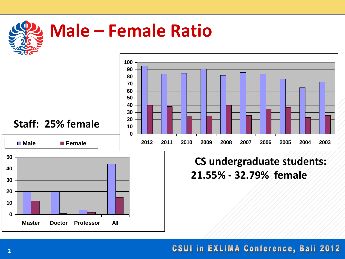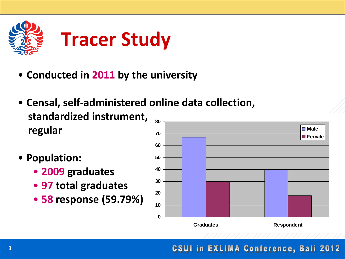

- **Conducted in 2011 by the university**
- **Censal, self-administered online data collection, standardized instrument, regular 70 80**
	- **Population:** 
		- **2009 graduates**
		- **97 total graduates**
		- **58 response (59.79%)**

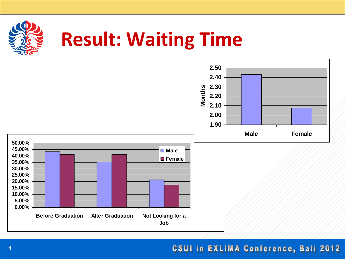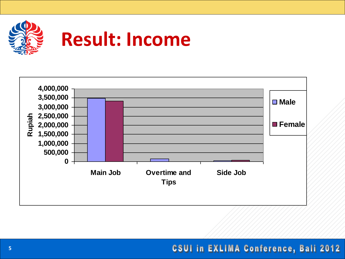

# **Result: Income**

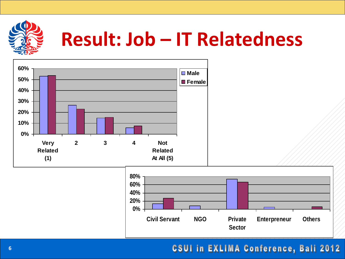

# **Result: Job – IT Relatedness**

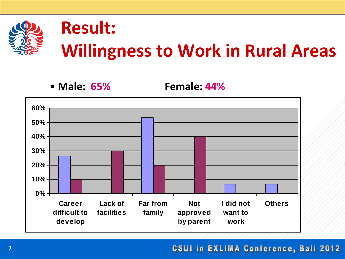

## **Result: Willingness to Work in Rural Areas**

• **Male: 65% Female: 44%**

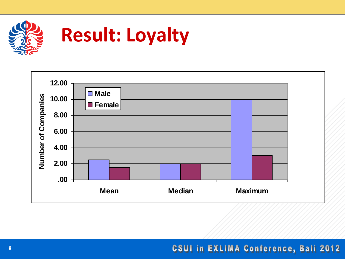

# **Result: Loyalty**

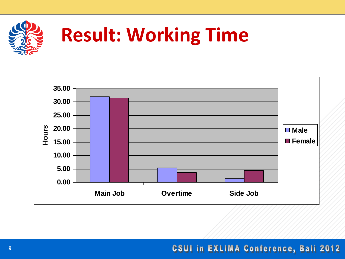

# **Result: Working Time**